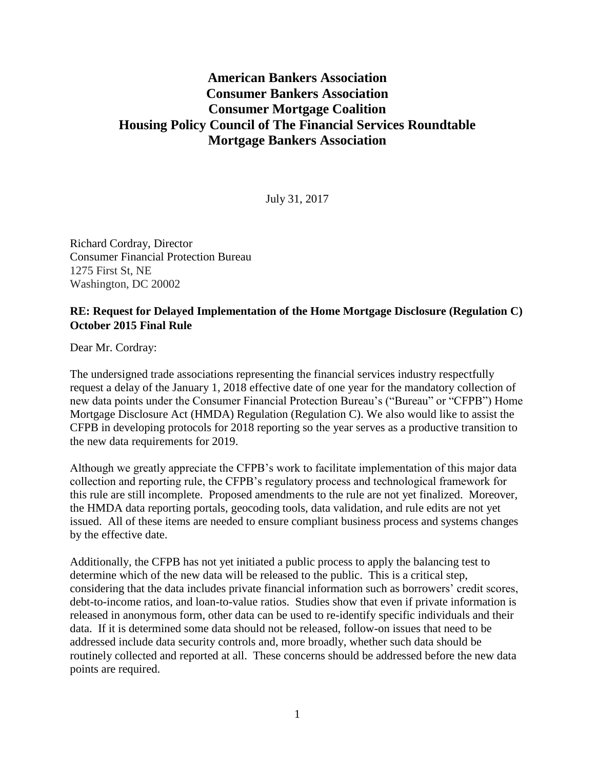## **American Bankers Association Consumer Bankers Association Consumer Mortgage Coalition Housing Policy Council of The Financial Services Roundtable Mortgage Bankers Association**

July 31, 2017

Richard Cordray, Director Consumer Financial Protection Bureau 1275 First St, NE Washington, DC 20002

## **RE: Request for Delayed Implementation of the Home Mortgage Disclosure (Regulation C) October 2015 Final Rule**

Dear Mr. Cordray:

The undersigned trade associations representing the financial services industry respectfully request a delay of the January 1, 2018 effective date of one year for the mandatory collection of new data points under the Consumer Financial Protection Bureau's ("Bureau" or "CFPB") Home Mortgage Disclosure Act (HMDA) Regulation (Regulation C). We also would like to assist the CFPB in developing protocols for 2018 reporting so the year serves as a productive transition to the new data requirements for 2019.

Although we greatly appreciate the CFPB's work to facilitate implementation of this major data collection and reporting rule, the CFPB's regulatory process and technological framework for this rule are still incomplete. Proposed amendments to the rule are not yet finalized. Moreover, the HMDA data reporting portals, geocoding tools, data validation, and rule edits are not yet issued. All of these items are needed to ensure compliant business process and systems changes by the effective date.

Additionally, the CFPB has not yet initiated a public process to apply the balancing test to determine which of the new data will be released to the public. This is a critical step, considering that the data includes private financial information such as borrowers' credit scores, debt-to-income ratios, and loan-to-value ratios. Studies show that even if private information is released in anonymous form, other data can be used to re-identify specific individuals and their data. If it is determined some data should not be released, follow-on issues that need to be addressed include data security controls and, more broadly, whether such data should be routinely collected and reported at all. These concerns should be addressed before the new data points are required.